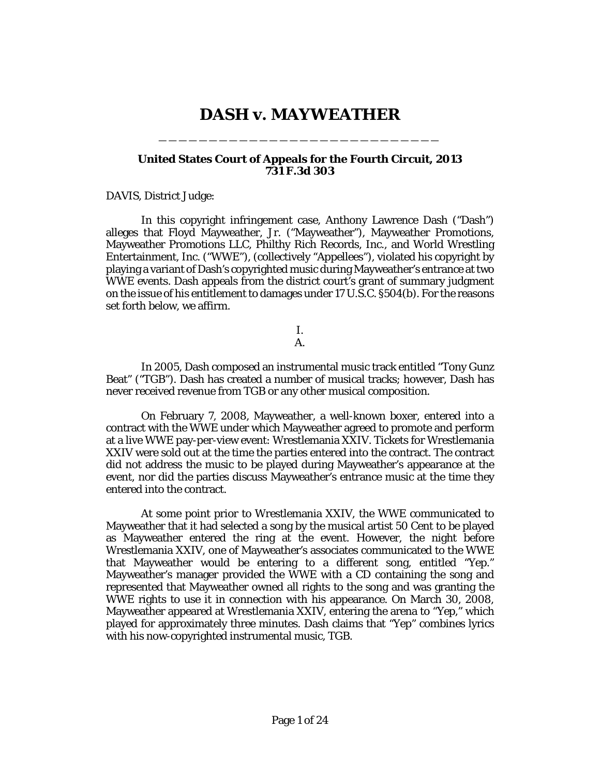# **DASH v. MAYWEATHER**

\_\_\_\_\_\_\_\_\_\_\_\_\_\_\_\_\_\_\_\_\_\_\_\_\_\_\_\_

### **United States Court of Appeals for the Fourth Circuit, 2013 731 F.3d 303**

#### DAVIS, District Judge:

In this copyright infringement case, Anthony Lawrence Dash ("Dash") alleges that Floyd Mayweather, Jr. ("Mayweather"), Mayweather Promotions, Mayweather Promotions LLC, Philthy Rich Records, Inc., and World Wrestling Entertainment, Inc. ("WWE"), (collectively "Appellees"), violated his copyright by playing a variant of Dash's copyrighted music during Mayweather's entrance at two WWE events. Dash appeals from the district court's grant of summary judgment on the issue of his entitlement to damages under 17 U.S.C. §504(b). For the reasons set forth below, we affirm.

> I. A.

In 2005, Dash composed an instrumental music track entitled "Tony Gunz Beat" ("TGB"). Dash has created a number of musical tracks; however, Dash has never received revenue from TGB or any other musical composition.

On February 7, 2008, Mayweather, a well-known boxer, entered into a contract with the WWE under which Mayweather agreed to promote and perform at a live WWE pay-per-view event: Wrestlemania XXIV. Tickets for Wrestlemania XXIV were sold out at the time the parties entered into the contract. The contract did not address the music to be played during Mayweather's appearance at the event, nor did the parties discuss Mayweather's entrance music at the time they entered into the contract.

At some point prior to Wrestlemania XXIV, the WWE communicated to Mayweather that it had selected a song by the musical artist 50 Cent to be played as Mayweather entered the ring at the event. However, the night before Wrestlemania XXIV, one of Mayweather's associates communicated to the WWE that Mayweather would be entering to a different song, entitled "Yep." Mayweather's manager provided the WWE with a CD containing the song and represented that Mayweather owned all rights to the song and was granting the WWE rights to use it in connection with his appearance. On March 30, 2008, Mayweather appeared at Wrestlemania XXIV, entering the arena to "Yep," which played for approximately three minutes. Dash claims that "Yep" combines lyrics with his now-copyrighted instrumental music, TGB.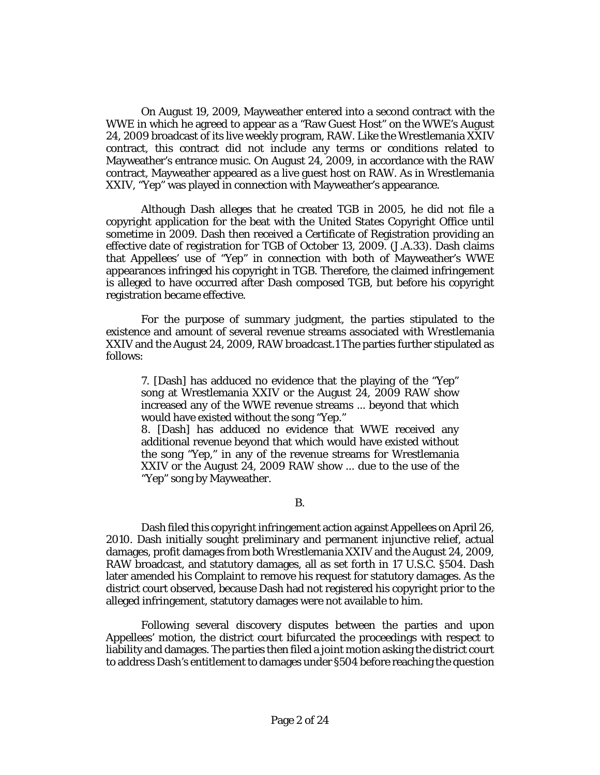On August 19, 2009, Mayweather entered into a second contract with the WWE in which he agreed to appear as a "Raw Guest Host" on the WWE's August 24, 2009 broadcast of its live weekly program, RAW. Like the Wrestlemania XXIV contract, this contract did not include any terms or conditions related to Mayweather's entrance music. On August 24, 2009, in accordance with the RAW contract, Mayweather appeared as a live guest host on RAW. As in Wrestlemania XXIV, "Yep" was played in connection with Mayweather's appearance.

Although Dash alleges that he created TGB in 2005, he did not file a copyright application for the beat with the United States Copyright Office until sometime in 2009. Dash then received a Certificate of Registration providing an effective date of registration for TGB of October 13, 2009. (J.A.33). Dash claims that Appellees' use of "Yep" in connection with both of Mayweather's WWE appearances infringed his copyright in TGB. Therefore, the claimed infringement is alleged to have occurred after Dash composed TGB, but before his copyright registration became effective.

For the purpose of summary judgment, the parties stipulated to the existence and amount of several revenue streams associated with Wrestlemania XXIV and the August 24, 2009, RAW broadcast.1 The parties further stipulated as follows:

7. [Dash] has adduced no evidence that the playing of the "Yep" song at Wrestlemania XXIV or the August 24, 2009 RAW show increased any of the WWE revenue streams ... beyond that which would have existed without the song "Yep."

8. [Dash] has adduced no evidence that WWE received any additional revenue beyond that which would have existed without the song "Yep," in any of the revenue streams for Wrestlemania XXIV or the August 24, 2009 RAW show ... due to the use of the "Yep" song by Mayweather.

B.

Dash filed this copyright infringement action against Appellees on April 26, 2010. Dash initially sought preliminary and permanent injunctive relief, actual damages, profit damages from both Wrestlemania XXIV and the August 24, 2009, RAW broadcast, and statutory damages, all as set forth in 17 U.S.C. §504. Dash later amended his Complaint to remove his request for statutory damages. As the district court observed, because Dash had not registered his copyright prior to the alleged infringement, statutory damages were not available to him.

Following several discovery disputes between the parties and upon Appellees' motion, the district court bifurcated the proceedings with respect to liability and damages. The parties then filed a joint motion asking the district court to address Dash's entitlement to damages under §504 before reaching the question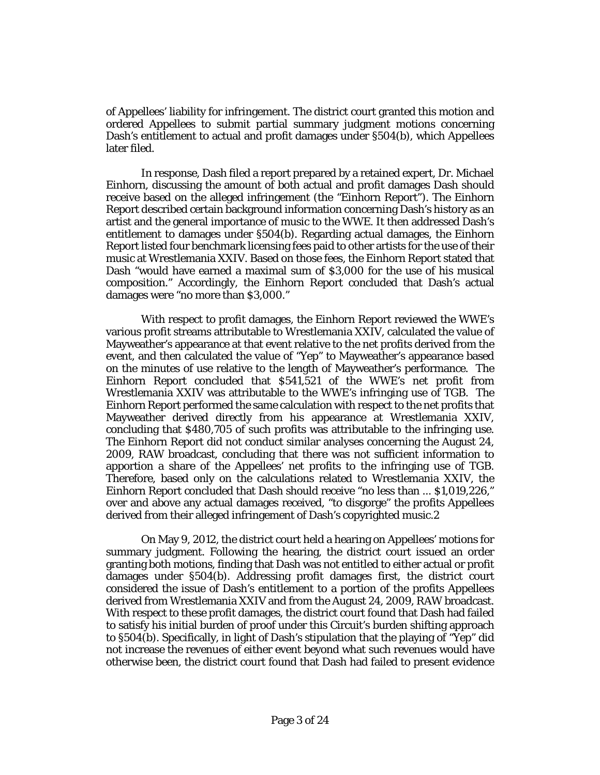of Appellees' liability for infringement. The district court granted this motion and ordered Appellees to submit partial summary judgment motions concerning Dash's entitlement to actual and profit damages under §504(b), which Appellees later filed.

In response, Dash filed a report prepared by a retained expert, Dr. Michael Einhorn, discussing the amount of both actual and profit damages Dash should receive based on the alleged infringement (the "Einhorn Report"). The Einhorn Report described certain background information concerning Dash's history as an artist and the general importance of music to the WWE. It then addressed Dash's entitlement to damages under §504(b). Regarding actual damages, the Einhorn Report listed four benchmark licensing fees paid to other artists for the use of their music at Wrestlemania XXIV. Based on those fees, the Einhorn Report stated that Dash "would have earned a maximal sum of \$3,000 for the use of his musical composition." Accordingly, the Einhorn Report concluded that Dash's actual damages were "no more than \$3,000."

With respect to profit damages, the Einhorn Report reviewed the WWE's various profit streams attributable to Wrestlemania XXIV, calculated the value of Mayweather's appearance at that event relative to the net profits derived from the event, and then calculated the value of "Yep" to Mayweather's appearance based on the minutes of use relative to the length of Mayweather's performance. The Einhorn Report concluded that \$541,521 of the WWE's net profit from Wrestlemania XXIV was attributable to the WWE's infringing use of TGB. The Einhorn Report performed the same calculation with respect to the net profits that Mayweather derived directly from his appearance at Wrestlemania XXIV, concluding that \$480,705 of such profits was attributable to the infringing use. The Einhorn Report did not conduct similar analyses concerning the August 24, 2009, RAW broadcast, concluding that there was not sufficient information to apportion a share of the Appellees' net profits to the infringing use of TGB. Therefore, based only on the calculations related to Wrestlemania XXIV, the Einhorn Report concluded that Dash should receive "no less than ... \$1,019,226," over and above any actual damages received, "to disgorge" the profits Appellees derived from their alleged infringement of Dash's copyrighted music.2

On May 9, 2012, the district court held a hearing on Appellees' motions for summary judgment. Following the hearing, the district court issued an order granting both motions, finding that Dash was not entitled to either actual or profit damages under §504(b). Addressing profit damages first, the district court considered the issue of Dash's entitlement to a portion of the profits Appellees derived from Wrestlemania XXIV and from the August 24, 2009, RAW broadcast. With respect to these profit damages, the district court found that Dash had failed to satisfy his initial burden of proof under this Circuit's burden shifting approach to §504(b). Specifically, in light of Dash's stipulation that the playing of "Yep" did not increase the revenues of either event beyond what such revenues would have otherwise been, the district court found that Dash had failed to present evidence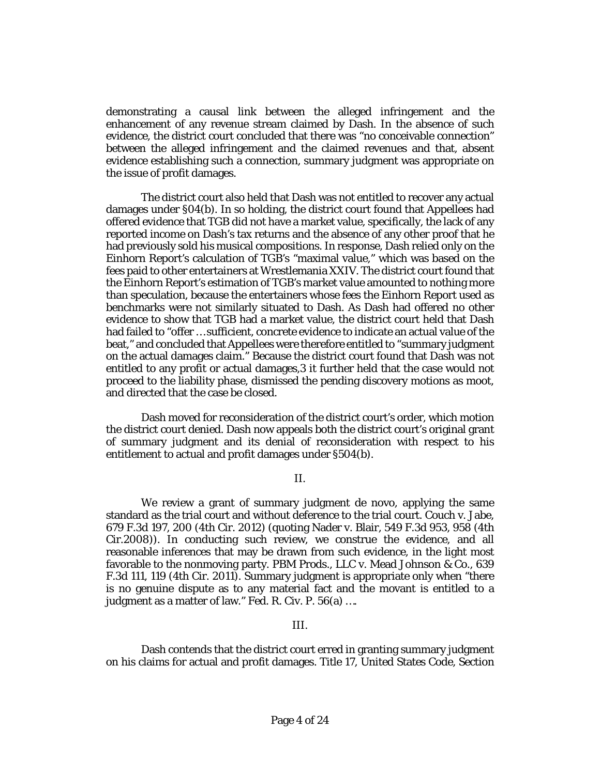demonstrating a causal link between the alleged infringement and the enhancement of any revenue stream claimed by Dash. In the absence of such evidence, the district court concluded that there was "no conceivable connection" between the alleged infringement and the claimed revenues and that, absent evidence establishing such a connection, summary judgment was appropriate on the issue of profit damages.

The district court also held that Dash was not entitled to recover any actual damages under §04(b). In so holding, the district court found that Appellees had offered evidence that TGB did not have a market value, specifically, the lack of any reported income on Dash's tax returns and the absence of any other proof that he had previously sold his musical compositions. In response, Dash relied only on the Einhorn Report's calculation of TGB's "maximal value," which was based on the fees paid to other entertainers at Wrestlemania XXIV. The district court found that the Einhorn Report's estimation of TGB's market value amounted to nothing more than speculation, because the entertainers whose fees the Einhorn Report used as benchmarks were not similarly situated to Dash. As Dash had offered no other evidence to show that TGB had a market value, the district court held that Dash had failed to "offer … sufficient, concrete evidence to indicate an actual value of the beat," and concluded that Appellees were therefore entitled to "summary judgment on the actual damages claim." Because the district court found that Dash was not entitled to any profit or actual damages,3 it further held that the case would not proceed to the liability phase, dismissed the pending discovery motions as moot, and directed that the case be closed.

Dash moved for reconsideration of the district court's order, which motion the district court denied. Dash now appeals both the district court's original grant of summary judgment and its denial of reconsideration with respect to his entitlement to actual and profit damages under §504(b).

II.

We review a grant of summary judgment de novo, applying the same standard as the trial court and without deference to the trial court. Couch v. Jabe, 679 F.3d 197, 200 (4th Cir. 2012) (quoting Nader v. Blair, 549 F.3d 953, 958 (4th Cir.2008)). In conducting such review, we construe the evidence, and all reasonable inferences that may be drawn from such evidence, in the light most favorable to the nonmoving party. PBM Prods., LLC v. Mead Johnson & Co., 639 F.3d 111, 119 (4th Cir. 2011). Summary judgment is appropriate only when "there is no genuine dispute as to any material fact and the movant is entitled to a judgment as a matter of law." Fed. R. Civ. P. 56(a) ….

#### III.

Dash contends that the district court erred in granting summary judgment on his claims for actual and profit damages. Title 17, United States Code, Section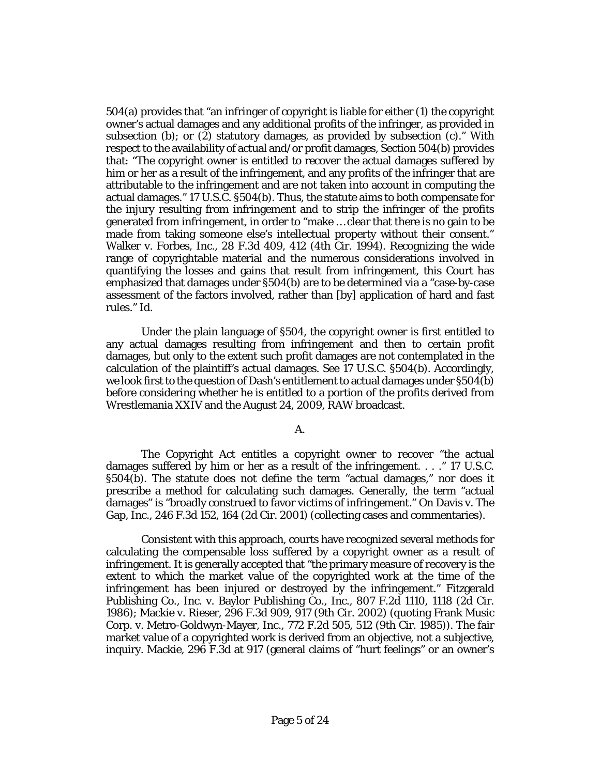504(a) provides that "an infringer of copyright is liable for either (1) the copyright owner's actual damages and any additional profits of the infringer, as provided in subsection (b); or (2) statutory damages, as provided by subsection (c)." With respect to the availability of actual and/or profit damages, Section 504(b) provides that: "The copyright owner is entitled to recover the actual damages suffered by him or her as a result of the infringement, and any profits of the infringer that are attributable to the infringement and are not taken into account in computing the actual damages." 17 U.S.C. §504(b). Thus, the statute aims to both compensate for the injury resulting from infringement and to strip the infringer of the profits generated from infringement, in order to "make … clear that there is no gain to be made from taking someone else's intellectual property without their consent." Walker v. Forbes, Inc., 28 F.3d 409, 412 (4th Cir. 1994). Recognizing the wide range of copyrightable material and the numerous considerations involved in quantifying the losses and gains that result from infringement, this Court has emphasized that damages under §504(b) are to be determined via a "case-by-case assessment of the factors involved, rather than [by] application of hard and fast rules." Id.

Under the plain language of §504, the copyright owner is first entitled to any actual damages resulting from infringement and then to certain profit damages, but only to the extent such profit damages are not contemplated in the calculation of the plaintiff's actual damages. See 17 U.S.C. §504(b). Accordingly, we look first to the question of Dash's entitlement to actual damages under §504(b) before considering whether he is entitled to a portion of the profits derived from Wrestlemania XXIV and the August 24, 2009, RAW broadcast.

## A.

The Copyright Act entitles a copyright owner to recover "the actual damages suffered by him or her as a result of the infringement. . . ." 17 U.S.C. §504(b). The statute does not define the term "actual damages," nor does it prescribe a method for calculating such damages. Generally, the term "actual damages" is "broadly construed to favor victims of infringement." On Davis v. The Gap, Inc., 246 F.3d 152, 164 (2d Cir. 2001) (collecting cases and commentaries).

Consistent with this approach, courts have recognized several methods for calculating the compensable loss suffered by a copyright owner as a result of infringement. It is generally accepted that "the primary measure of recovery is the extent to which the market value of the copyrighted work at the time of the infringement has been injured or destroyed by the infringement." Fitzgerald Publishing Co., Inc. v. Baylor Publishing Co., Inc., 807 F.2d 1110, 1118 (2d Cir. 1986); Mackie v. Rieser, 296 F.3d 909, 917 (9th Cir. 2002) (quoting Frank Music Corp. v. Metro-Goldwyn-Mayer, Inc., 772 F.2d 505, 512 (9th Cir. 1985)). The fair market value of a copyrighted work is derived from an objective, not a subjective, inquiry. Mackie, 296 F.3d at 917 (general claims of "hurt feelings" or an owner's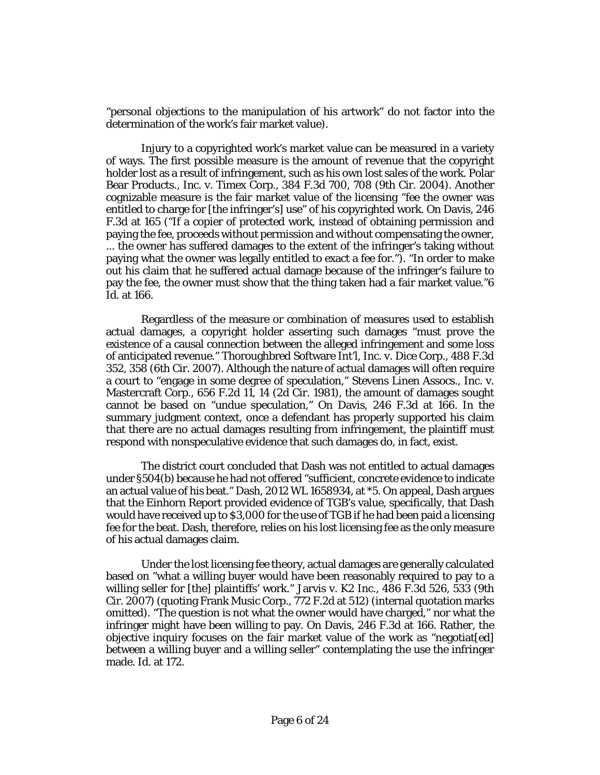"personal objections to the manipulation of his artwork" do not factor into the determination of the work's fair market value).

Injury to a copyrighted work's market value can be measured in a variety of ways. The first possible measure is the amount of revenue that the copyright holder lost as a result of infringement, such as his own lost sales of the work. Polar Bear Products., Inc. v. Timex Corp., 384 F.3d 700, 708 (9th Cir. 2004). Another cognizable measure is the fair market value of the licensing "fee the owner was entitled to charge for [the infringer's] use" of his copyrighted work. On Davis, 246 F.3d at 165 ("If a copier of protected work, instead of obtaining permission and paying the fee, proceeds without permission and without compensating the owner, ... the owner has suffered damages to the extent of the infringer's taking without paying what the owner was legally entitled to exact a fee for."). "In order to make out his claim that he suffered actual damage because of the infringer's failure to pay the fee, the owner must show that the thing taken had a fair market value."6 Id. at 166.

Regardless of the measure or combination of measures used to establish actual damages, a copyright holder asserting such damages "must prove the existence of a causal connection between the alleged infringement and some loss of anticipated revenue." Thoroughbred Software Int'l, Inc. v. Dice Corp., 488 F.3d 352, 358 (6th Cir. 2007). Although the nature of actual damages will often require a court to "engage in some degree of speculation," Stevens Linen Assocs., Inc. v. Mastercraft Corp., 656 F.2d 11, 14 (2d Cir. 1981), the amount of damages sought cannot be based on "undue speculation," On Davis, 246 F.3d at 166. In the summary judgment context, once a defendant has properly supported his claim that there are no actual damages resulting from infringement, the plaintiff must respond with nonspeculative evidence that such damages do, in fact, exist.

The district court concluded that Dash was not entitled to actual damages under §504(b) because he had not offered "sufficient, concrete evidence to indicate an actual value of his beat." Dash, 2012 WL 1658934, at \*5. On appeal, Dash argues that the Einhorn Report provided evidence of TGB's value, specifically, that Dash would have received up to \$3,000 for the use of TGB if he had been paid a licensing fee for the beat. Dash, therefore, relies on his lost licensing fee as the only measure of his actual damages claim.

Under the lost licensing fee theory, actual damages are generally calculated based on "what a willing buyer would have been reasonably required to pay to a willing seller for [the] plaintiffs' work." Jarvis v. K2 Inc., 486 F.3d 526, 533 (9th Cir. 2007) (quoting Frank Music Corp., 772 F.2d at 512) (internal quotation marks omitted). "The question is not what the owner would have charged," nor what the infringer might have been willing to pay. On Davis, 246 F.3d at 166. Rather, the objective inquiry focuses on the fair market value of the work as "negotiatedl" between a willing buyer and a willing seller" contemplating the use the infringer made. Id. at 172.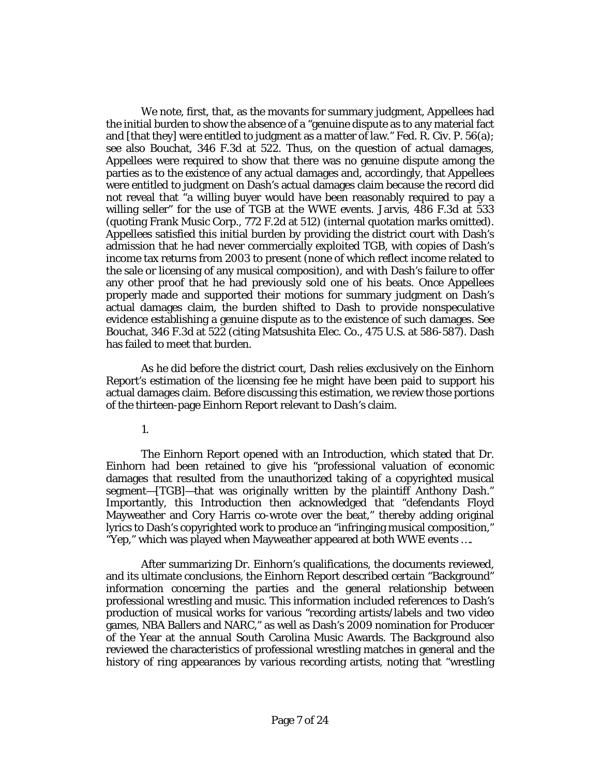We note, first, that, as the movants for summary judgment, Appellees had the initial burden to show the absence of a "genuine dispute as to any material fact and [that they] were entitled to judgment as a matter of law." Fed. R. Civ. P. 56(a); see also Bouchat, 346 F.3d at 522. Thus, on the question of actual damages, Appellees were required to show that there was no genuine dispute among the parties as to the existence of any actual damages and, accordingly, that Appellees were entitled to judgment on Dash's actual damages claim because the record did not reveal that "a willing buyer would have been reasonably required to pay a willing seller" for the use of TGB at the WWE events. Jarvis, 486 F.3d at 533 (quoting Frank Music Corp., 772 F.2d at 512) (internal quotation marks omitted). Appellees satisfied this initial burden by providing the district court with Dash's admission that he had never commercially exploited TGB, with copies of Dash's income tax returns from 2003 to present (none of which reflect income related to the sale or licensing of any musical composition), and with Dash's failure to offer any other proof that he had previously sold one of his beats. Once Appellees properly made and supported their motions for summary judgment on Dash's actual damages claim, the burden shifted to Dash to provide nonspeculative evidence establishing a genuine dispute as to the existence of such damages. See Bouchat, 346 F.3d at 522 (citing Matsushita Elec. Co., 475 U.S. at 586-587). Dash has failed to meet that burden.

As he did before the district court, Dash relies exclusively on the Einhorn Report's estimation of the licensing fee he might have been paid to support his actual damages claim. Before discussing this estimation, we review those portions of the thirteen-page Einhorn Report relevant to Dash's claim.

1.

The Einhorn Report opened with an Introduction, which stated that Dr. Einhorn had been retained to give his "professional valuation of economic damages that resulted from the unauthorized taking of a copyrighted musical segment—[TGB]—that was originally written by the plaintiff Anthony Dash." Importantly, this Introduction then acknowledged that "defendants Floyd Mayweather and Cory Harris co-wrote over the beat," thereby adding original lyrics to Dash's copyrighted work to produce an "infringing musical composition," "Yep," which was played when Mayweather appeared at both WWE events ….

After summarizing Dr. Einhorn's qualifications, the documents reviewed, and its ultimate conclusions, the Einhorn Report described certain "Background" information concerning the parties and the general relationship between professional wrestling and music. This information included references to Dash's production of musical works for various "recording artists/labels and two video games, NBA Ballers and NARC," as well as Dash's 2009 nomination for Producer of the Year at the annual South Carolina Music Awards. The Background also reviewed the characteristics of professional wrestling matches in general and the history of ring appearances by various recording artists, noting that "wrestling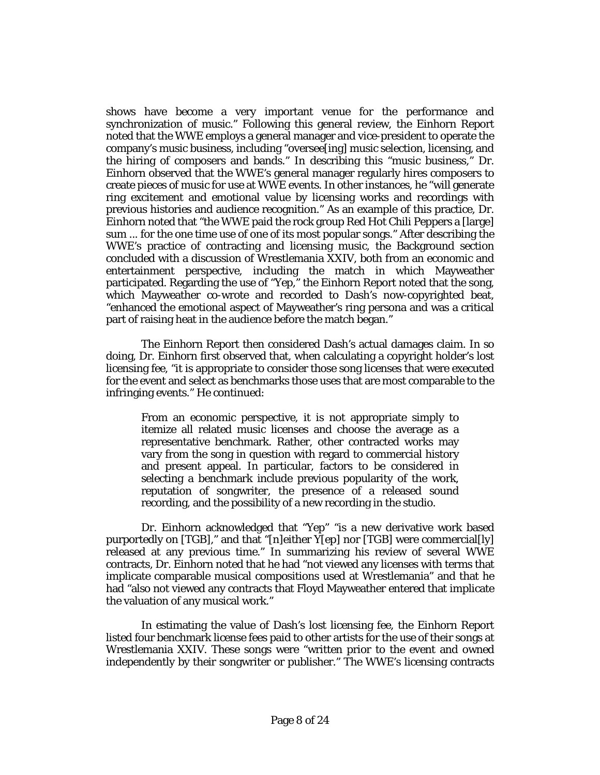shows have become a very important venue for the performance and synchronization of music." Following this general review, the Einhorn Report noted that the WWE employs a general manager and vice-president to operate the company's music business, including "oversee[ing] music selection, licensing, and the hiring of composers and bands." In describing this "music business," Dr. Einhorn observed that the WWE's general manager regularly hires composers to create pieces of music for use at WWE events. In other instances, he "will generate ring excitement and emotional value by licensing works and recordings with previous histories and audience recognition." As an example of this practice, Dr. Einhorn noted that "the WWE paid the rock group Red Hot Chili Peppers a [large] sum ... for the one time use of one of its most popular songs." After describing the WWE's practice of contracting and licensing music, the Background section concluded with a discussion of Wrestlemania XXIV, both from an economic and entertainment perspective, including the match in which Mayweather participated. Regarding the use of "Yep," the Einhorn Report noted that the song, which Mayweather co-wrote and recorded to Dash's now-copyrighted beat, "enhanced the emotional aspect of Mayweather's ring persona and was a critical part of raising heat in the audience before the match began."

The Einhorn Report then considered Dash's actual damages claim. In so doing, Dr. Einhorn first observed that, when calculating a copyright holder's lost licensing fee, "it is appropriate to consider those song licenses that were executed for the event and select as benchmarks those uses that are most comparable to the infringing events." He continued:

From an economic perspective, it is not appropriate simply to itemize all related music licenses and choose the average as a representative benchmark. Rather, other contracted works may vary from the song in question with regard to commercial history and present appeal. In particular, factors to be considered in selecting a benchmark include previous popularity of the work, reputation of songwriter, the presence of a released sound recording, and the possibility of a new recording in the studio.

Dr. Einhorn acknowledged that "Yep" "is a new derivative work based purportedly on [TGB]," and that "[n]either Y[ep] nor [TGB] were commercial[ly] released at any previous time." In summarizing his review of several WWE contracts, Dr. Einhorn noted that he had "not viewed any licenses with terms that implicate comparable musical compositions used at Wrestlemania" and that he had "also not viewed any contracts that Floyd Mayweather entered that implicate the valuation of any musical work."

In estimating the value of Dash's lost licensing fee, the Einhorn Report listed four benchmark license fees paid to other artists for the use of their songs at Wrestlemania XXIV. These songs were "written prior to the event and owned independently by their songwriter or publisher." The WWE's licensing contracts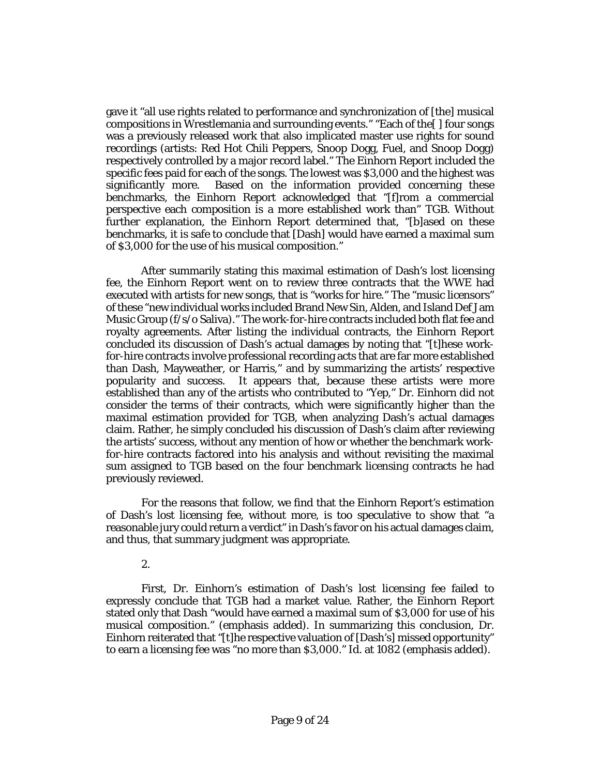gave it "all use rights related to performance and synchronization of [the] musical compositions in Wrestlemania and surrounding events." "Each of the[ ] four songs was a previously released work that also implicated master use rights for sound recordings (artists: Red Hot Chili Peppers, Snoop Dogg, Fuel, and Snoop Dogg) respectively controlled by a major record label." The Einhorn Report included the specific fees paid for each of the songs. The lowest was \$3,000 and the highest was significantly more. Based on the information provided concerning these benchmarks, the Einhorn Report acknowledged that "[f]rom a commercial perspective each composition is a more established work than" TGB. Without further explanation, the Einhorn Report determined that, "[b]ased on these benchmarks, it is safe to conclude that [Dash] would have earned a maximal sum of \$3,000 for the use of his musical composition."

After summarily stating this maximal estimation of Dash's lost licensing fee, the Einhorn Report went on to review three contracts that the WWE had executed with artists for new songs, that is "works for hire." The "music licensors" of these "new individual works included Brand New Sin, Alden, and Island Def Jam Music Group (f/s/o Saliva)." The work-for-hire contracts included both flat fee and royalty agreements. After listing the individual contracts, the Einhorn Report concluded its discussion of Dash's actual damages by noting that "[t]hese workfor-hire contracts involve professional recording acts that are far more established than Dash, Mayweather, or Harris," and by summarizing the artists' respective popularity and success. It appears that, because these artists were more established than any of the artists who contributed to "Yep," Dr. Einhorn did not consider the terms of their contracts, which were significantly higher than the maximal estimation provided for TGB, when analyzing Dash's actual damages claim. Rather, he simply concluded his discussion of Dash's claim after reviewing the artists' success, without any mention of how or whether the benchmark workfor-hire contracts factored into his analysis and without revisiting the maximal sum assigned to TGB based on the four benchmark licensing contracts he had previously reviewed.

For the reasons that follow, we find that the Einhorn Report's estimation of Dash's lost licensing fee, without more, is too speculative to show that "a reasonable jury could return a verdict" in Dash's favor on his actual damages claim, and thus, that summary judgment was appropriate.

2.

First, Dr. Einhorn's estimation of Dash's lost licensing fee failed to expressly conclude that TGB had a market value. Rather, the Einhorn Report stated only that Dash "would have earned a maximal sum of \$3,000 for use of his musical composition." (emphasis added). In summarizing this conclusion, Dr. Einhorn reiterated that "[t]he respective valuation of [Dash's] missed opportunity" to earn a licensing fee was "no more than \$3,000." Id. at 1082 (emphasis added).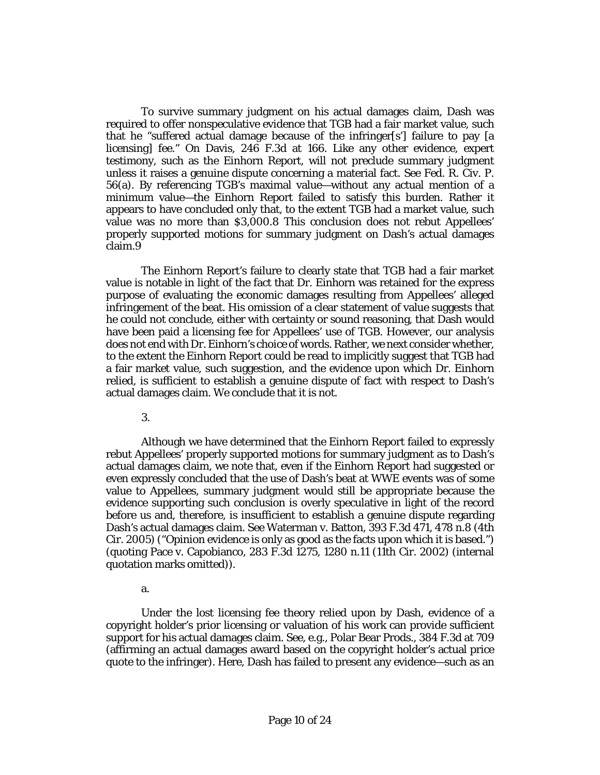To survive summary judgment on his actual damages claim, Dash was required to offer nonspeculative evidence that TGB had a fair market value, such that he "suffered actual damage because of the infringer[s'] failure to pay [a licensing] fee." On Davis, 246 F.3d at 166. Like any other evidence, expert testimony, such as the Einhorn Report, will not preclude summary judgment unless it raises a genuine dispute concerning a material fact. See Fed. R. Civ. P. 56(a). By referencing TGB's maximal value—without any actual mention of a minimum value—the Einhorn Report failed to satisfy this burden. Rather it appears to have concluded only that, to the extent TGB had a market value, such value was no more than \$3,000.8 This conclusion does not rebut Appellees' properly supported motions for summary judgment on Dash's actual damages claim.9

The Einhorn Report's failure to clearly state that TGB had a fair market value is notable in light of the fact that Dr. Einhorn was retained for the express purpose of evaluating the economic damages resulting from Appellees' alleged infringement of the beat. His omission of a clear statement of value suggests that he could not conclude, either with certainty or sound reasoning, that Dash would have been paid a licensing fee for Appellees' use of TGB. However, our analysis does not end with Dr. Einhorn's choice of words. Rather, we next consider whether, to the extent the Einhorn Report could be read to implicitly suggest that TGB had a fair market value, such suggestion, and the evidence upon which Dr. Einhorn relied, is sufficient to establish a genuine dispute of fact with respect to Dash's actual damages claim. We conclude that it is not.

3.

Although we have determined that the Einhorn Report failed to expressly rebut Appellees' properly supported motions for summary judgment as to Dash's actual damages claim, we note that, even if the Einhorn Report had suggested or even expressly concluded that the use of Dash's beat at WWE events was of some value to Appellees, summary judgment would still be appropriate because the evidence supporting such conclusion is overly speculative in light of the record before us and, therefore, is insufficient to establish a genuine dispute regarding Dash's actual damages claim. See Waterman v. Batton, 393 F.3d 471, 478 n.8 (4th Cir. 2005) ("Opinion evidence is only as good as the facts upon which it is based.") (quoting Pace v. Capobianco, 283 F.3d 1275, 1280 n.11 (11th Cir. 2002) (internal quotation marks omitted)).

a.

Under the lost licensing fee theory relied upon by Dash, evidence of a copyright holder's prior licensing or valuation of his work can provide sufficient support for his actual damages claim. See, e.g., Polar Bear Prods., 384 F.3d at 709 (affirming an actual damages award based on the copyright holder's actual price quote to the infringer). Here, Dash has failed to present any evidence—such as an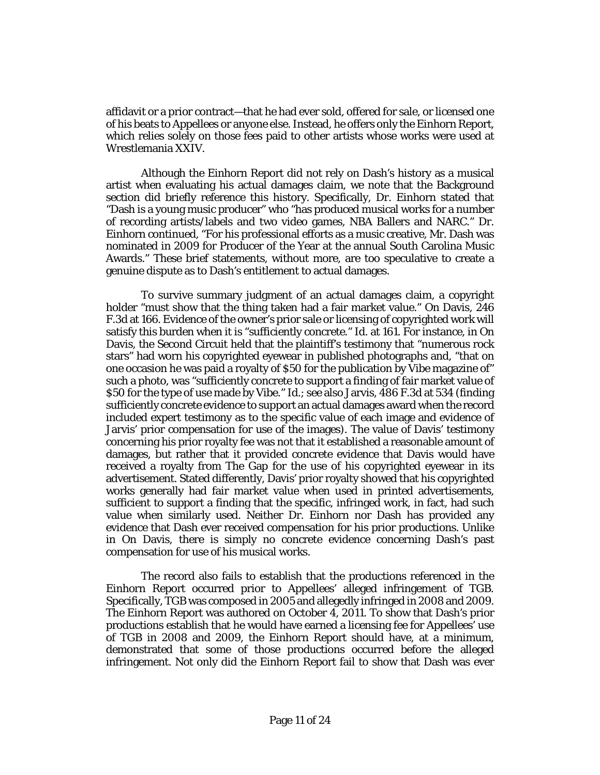affidavit or a prior contract—that he had ever sold, offered for sale, or licensed one of his beats to Appellees or anyone else. Instead, he offers only the Einhorn Report, which relies solely on those fees paid to other artists whose works were used at Wrestlemania XXIV.

Although the Einhorn Report did not rely on Dash's history as a musical artist when evaluating his actual damages claim, we note that the Background section did briefly reference this history. Specifically, Dr. Einhorn stated that "Dash is a young music producer" who "has produced musical works for a number of recording artists/labels and two video games, NBA Ballers and NARC." Dr. Einhorn continued, "For his professional efforts as a music creative, Mr. Dash was nominated in 2009 for Producer of the Year at the annual South Carolina Music Awards." These brief statements, without more, are too speculative to create a genuine dispute as to Dash's entitlement to actual damages.

To survive summary judgment of an actual damages claim, a copyright holder "must show that the thing taken had a fair market value." On Davis, 246 F.3d at 166. Evidence of the owner's prior sale or licensing of copyrighted work will satisfy this burden when it is "sufficiently concrete." Id. at 161. For instance, in On Davis, the Second Circuit held that the plaintiff's testimony that "numerous rock stars" had worn his copyrighted eyewear in published photographs and, "that on one occasion he was paid a royalty of \$50 for the publication by Vibe magazine of" such a photo, was "sufficiently concrete to support a finding of fair market value of \$50 for the type of use made by Vibe." Id.; see also Jarvis, 486 F.3d at 534 (finding sufficiently concrete evidence to support an actual damages award when the record included expert testimony as to the specific value of each image and evidence of Jarvis' prior compensation for use of the images). The value of Davis' testimony concerning his prior royalty fee was not that it established a reasonable amount of damages, but rather that it provided concrete evidence that Davis would have received a royalty from The Gap for the use of his copyrighted eyewear in its advertisement. Stated differently, Davis' prior royalty showed that his copyrighted works generally had fair market value when used in printed advertisements, sufficient to support a finding that the specific, infringed work, in fact, had such value when similarly used. Neither Dr. Einhorn nor Dash has provided any evidence that Dash ever received compensation for his prior productions. Unlike in On Davis, there is simply no concrete evidence concerning Dash's past compensation for use of his musical works.

The record also fails to establish that the productions referenced in the Einhorn Report occurred prior to Appellees' alleged infringement of TGB. Specifically, TGB was composed in 2005 and allegedly infringed in 2008 and 2009. The Einhorn Report was authored on October 4, 2011. To show that Dash's prior productions establish that he would have earned a licensing fee for Appellees' use of TGB in 2008 and 2009, the Einhorn Report should have, at a minimum, demonstrated that some of those productions occurred before the alleged infringement. Not only did the Einhorn Report fail to show that Dash was ever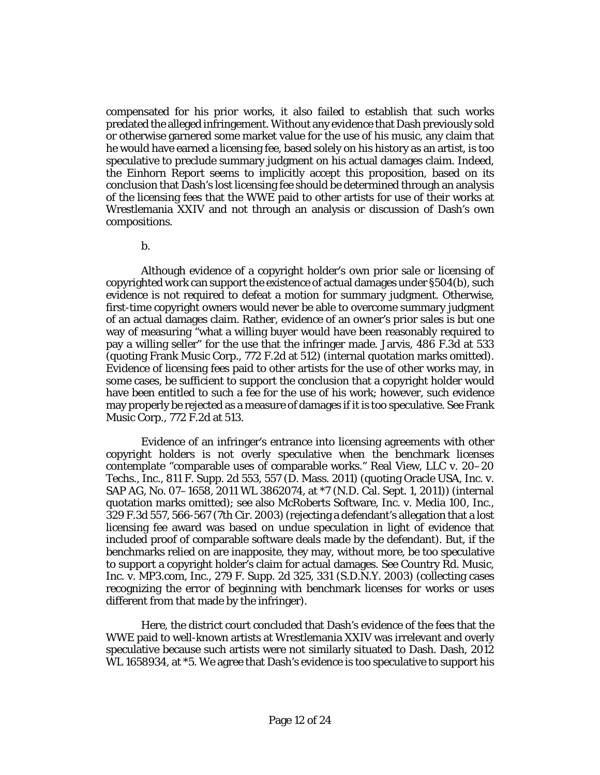compensated for his prior works, it also failed to establish that such works predated the alleged infringement. Without any evidence that Dash previously sold or otherwise garnered some market value for the use of his music, any claim that he would have earned a licensing fee, based solely on his history as an artist, is too speculative to preclude summary judgment on his actual damages claim. Indeed, the Einhorn Report seems to implicitly accept this proposition, based on its conclusion that Dash's lost licensing fee should be determined through an analysis of the licensing fees that the WWE paid to other artists for use of their works at Wrestlemania XXIV and not through an analysis or discussion of Dash's own compositions.

b.

Although evidence of a copyright holder's own prior sale or licensing of copyrighted work can support the existence of actual damages under §504(b), such evidence is not required to defeat a motion for summary judgment. Otherwise, first-time copyright owners would never be able to overcome summary judgment of an actual damages claim. Rather, evidence of an owner's prior sales is but one way of measuring "what a willing buyer would have been reasonably required to pay a willing seller" for the use that the infringer made. Jarvis, 486 F.3d at 533 (quoting Frank Music Corp., 772 F.2d at 512) (internal quotation marks omitted). Evidence of licensing fees paid to other artists for the use of other works may, in some cases, be sufficient to support the conclusion that a copyright holder would have been entitled to such a fee for the use of his work; however, such evidence may properly be rejected as a measure of damages if it is too speculative. See Frank Music Corp., 772 F.2d at 513.

Evidence of an infringer's entrance into licensing agreements with other copyright holders is not overly speculative when the benchmark licenses contemplate "comparable uses of comparable works." Real View, LLC v. 20–20 Techs., Inc., 811 F. Supp. 2d 553, 557 (D. Mass. 2011) (quoting Oracle USA, Inc. v. SAP AG, No. 07–1658, 2011 WL 3862074, at \*7 (N.D. Cal. Sept. 1, 2011)) (internal quotation marks omitted); see also McRoberts Software, Inc. v. Media 100, Inc., 329 F.3d 557, 566-567 (7th Cir. 2003) (rejecting a defendant's allegation that a lost licensing fee award was based on undue speculation in light of evidence that included proof of comparable software deals made by the defendant). But, if the benchmarks relied on are inapposite, they may, without more, be too speculative to support a copyright holder's claim for actual damages. See Country Rd. Music, Inc. v. MP3.com, Inc., 279 F. Supp. 2d 325, 331 (S.D.N.Y. 2003) (collecting cases recognizing the error of beginning with benchmark licenses for works or uses different from that made by the infringer).

Here, the district court concluded that Dash's evidence of the fees that the WWE paid to well-known artists at Wrestlemania XXIV was irrelevant and overly speculative because such artists were not similarly situated to Dash. Dash, 2012 WL 1658934, at \*5. We agree that Dash's evidence is too speculative to support his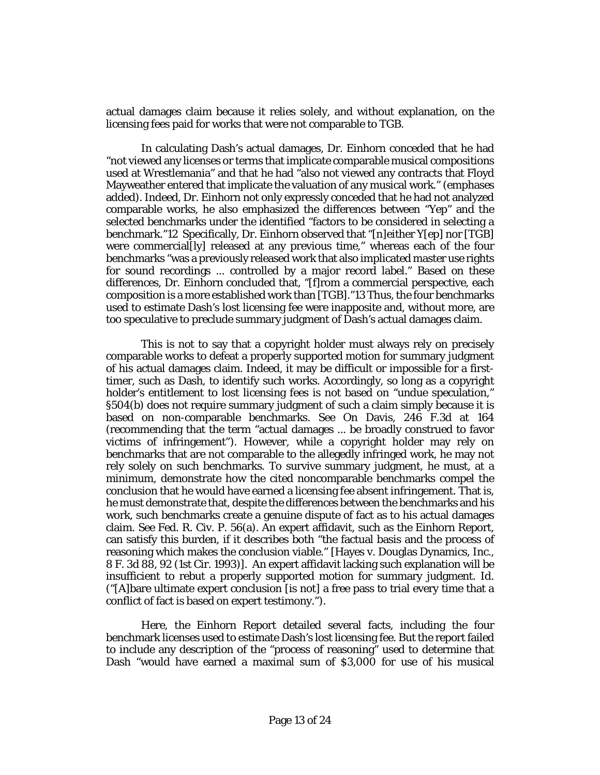actual damages claim because it relies solely, and without explanation, on the licensing fees paid for works that were not comparable to TGB.

In calculating Dash's actual damages, Dr. Einhorn conceded that he had "not viewed any licenses or terms that implicate comparable musical compositions used at Wrestlemania" and that he had "also not viewed any contracts that Floyd Mayweather entered that implicate the valuation of any musical work." (emphases added). Indeed, Dr. Einhorn not only expressly conceded that he had not analyzed comparable works, he also emphasized the differences between "Yep" and the selected benchmarks under the identified "factors to be considered in selecting a benchmark."12 Specifically, Dr. Einhorn observed that "[n]either Y[ep] nor [TGB] were commercial[ly] released at any previous time," whereas each of the four benchmarks "was a previously released work that also implicated master use rights for sound recordings ... controlled by a major record label." Based on these differences, Dr. Einhorn concluded that, "[f]rom a commercial perspective, each composition is a more established work than [TGB]."13 Thus, the four benchmarks used to estimate Dash's lost licensing fee were inapposite and, without more, are too speculative to preclude summary judgment of Dash's actual damages claim.

This is not to say that a copyright holder must always rely on precisely comparable works to defeat a properly supported motion for summary judgment of his actual damages claim. Indeed, it may be difficult or impossible for a firsttimer, such as Dash, to identify such works. Accordingly, so long as a copyright holder's entitlement to lost licensing fees is not based on "undue speculation," §504(b) does not require summary judgment of such a claim simply because it is based on non-comparable benchmarks. See On Davis, 246 F.3d at 164 (recommending that the term "actual damages ... be broadly construed to favor victims of infringement"). However, while a copyright holder may rely on benchmarks that are not comparable to the allegedly infringed work, he may not rely solely on such benchmarks. To survive summary judgment, he must, at a minimum, demonstrate how the cited noncomparable benchmarks compel the conclusion that he would have earned a licensing fee absent infringement. That is, he must demonstrate that, despite the differences between the benchmarks and his work, such benchmarks create a genuine dispute of fact as to his actual damages claim. See Fed. R. Civ. P. 56(a). An expert affidavit, such as the Einhorn Report, can satisfy this burden, if it describes both "the factual basis and the process of reasoning which makes the conclusion viable." [Hayes v. Douglas Dynamics, Inc., 8 F. 3d 88, 92 (1st Cir. 1993)]. An expert affidavit lacking such explanation will be insufficient to rebut a properly supported motion for summary judgment. Id. ("[A]bare ultimate expert conclusion [is not] a free pass to trial every time that a conflict of fact is based on expert testimony.").

Here, the Einhorn Report detailed several facts, including the four benchmark licenses used to estimate Dash's lost licensing fee. But the report failed to include any description of the "process of reasoning" used to determine that Dash "would have earned a maximal sum of \$3,000 for use of his musical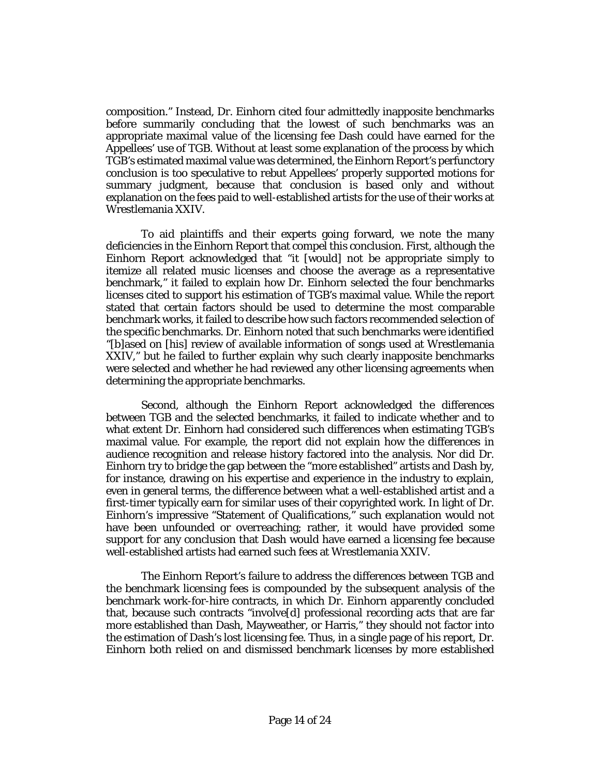composition." Instead, Dr. Einhorn cited four admittedly inapposite benchmarks before summarily concluding that the lowest of such benchmarks was an appropriate maximal value of the licensing fee Dash could have earned for the Appellees' use of TGB. Without at least some explanation of the process by which TGB's estimated maximal value was determined, the Einhorn Report's perfunctory conclusion is too speculative to rebut Appellees' properly supported motions for summary judgment, because that conclusion is based only and without explanation on the fees paid to well-established artists for the use of their works at Wrestlemania XXIV.

To aid plaintiffs and their experts going forward, we note the many deficiencies in the Einhorn Report that compel this conclusion. First, although the Einhorn Report acknowledged that "it [would] not be appropriate simply to itemize all related music licenses and choose the average as a representative benchmark," it failed to explain how Dr. Einhorn selected the four benchmarks licenses cited to support his estimation of TGB's maximal value. While the report stated that certain factors should be used to determine the most comparable benchmark works, it failed to describe how such factors recommended selection of the specific benchmarks. Dr. Einhorn noted that such benchmarks were identified "[b]ased on [his] review of available information of songs used at Wrestlemania XXIV," but he failed to further explain why such clearly inapposite benchmarks were selected and whether he had reviewed any other licensing agreements when determining the appropriate benchmarks.

Second, although the Einhorn Report acknowledged the differences between TGB and the selected benchmarks, it failed to indicate whether and to what extent Dr. Einhorn had considered such differences when estimating TGB's maximal value. For example, the report did not explain how the differences in audience recognition and release history factored into the analysis. Nor did Dr. Einhorn try to bridge the gap between the "more established" artists and Dash by, for instance, drawing on his expertise and experience in the industry to explain, even in general terms, the difference between what a well-established artist and a first-timer typically earn for similar uses of their copyrighted work. In light of Dr. Einhorn's impressive "Statement of Qualifications," such explanation would not have been unfounded or overreaching; rather, it would have provided some support for any conclusion that Dash would have earned a licensing fee because well-established artists had earned such fees at Wrestlemania XXIV.

The Einhorn Report's failure to address the differences between TGB and the benchmark licensing fees is compounded by the subsequent analysis of the benchmark work-for-hire contracts, in which Dr. Einhorn apparently concluded that, because such contracts "involve[d] professional recording acts that are far more established than Dash, Mayweather, or Harris," they should not factor into the estimation of Dash's lost licensing fee. Thus, in a single page of his report, Dr. Einhorn both relied on and dismissed benchmark licenses by more established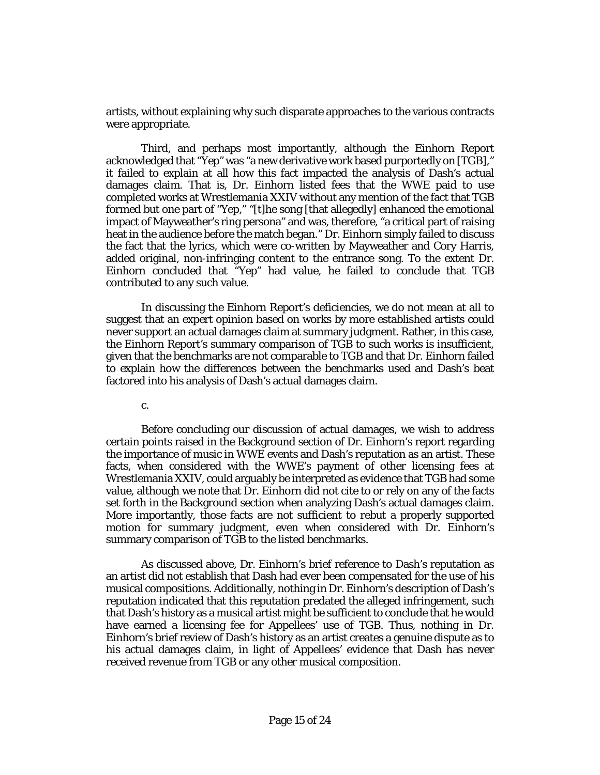artists, without explaining why such disparate approaches to the various contracts were appropriate.

Third, and perhaps most importantly, although the Einhorn Report acknowledged that "Yep" was "a new derivative work based purportedly on [TGB]," it failed to explain at all how this fact impacted the analysis of Dash's actual damages claim. That is, Dr. Einhorn listed fees that the WWE paid to use completed works at Wrestlemania XXIV without any mention of the fact that TGB formed but one part of "Yep," "[t]he song [that allegedly] enhanced the emotional impact of Mayweather's ring persona" and was, therefore, "a critical part of raising heat in the audience before the match began." Dr. Einhorn simply failed to discuss the fact that the lyrics, which were co-written by Mayweather and Cory Harris, added original, non-infringing content to the entrance song. To the extent Dr. Einhorn concluded that "Yep" had value, he failed to conclude that TGB contributed to any such value.

In discussing the Einhorn Report's deficiencies, we do not mean at all to suggest that an expert opinion based on works by more established artists could never support an actual damages claim at summary judgment. Rather, in this case, the Einhorn Report's summary comparison of TGB to such works is insufficient, given that the benchmarks are not comparable to TGB and that Dr. Einhorn failed to explain how the differences between the benchmarks used and Dash's beat factored into his analysis of Dash's actual damages claim.

c.

Before concluding our discussion of actual damages, we wish to address certain points raised in the Background section of Dr. Einhorn's report regarding the importance of music in WWE events and Dash's reputation as an artist. These facts, when considered with the WWE's payment of other licensing fees at Wrestlemania XXIV, could arguably be interpreted as evidence that TGB had some value, although we note that Dr. Einhorn did not cite to or rely on any of the facts set forth in the Background section when analyzing Dash's actual damages claim. More importantly, those facts are not sufficient to rebut a properly supported motion for summary judgment, even when considered with Dr. Einhorn's summary comparison of TGB to the listed benchmarks.

As discussed above, Dr. Einhorn's brief reference to Dash's reputation as an artist did not establish that Dash had ever been compensated for the use of his musical compositions. Additionally, nothing in Dr. Einhorn's description of Dash's reputation indicated that this reputation predated the alleged infringement, such that Dash's history as a musical artist might be sufficient to conclude that he would have earned a licensing fee for Appellees' use of TGB. Thus, nothing in Dr. Einhorn's brief review of Dash's history as an artist creates a genuine dispute as to his actual damages claim, in light of Appellees' evidence that Dash has never received revenue from TGB or any other musical composition.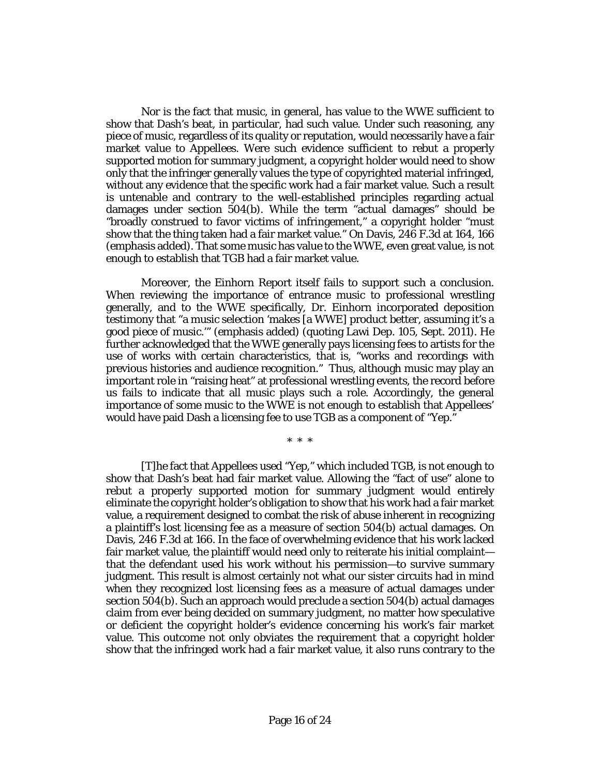Nor is the fact that music, in general, has value to the WWE sufficient to show that Dash's beat, in particular, had such value. Under such reasoning, any piece of music, regardless of its quality or reputation, would necessarily have a fair market value to Appellees. Were such evidence sufficient to rebut a properly supported motion for summary judgment, a copyright holder would need to show only that the infringer generally values the type of copyrighted material infringed, without any evidence that the specific work had a fair market value. Such a result is untenable and contrary to the well-established principles regarding actual damages under section 504(b). While the term "actual damages" should be "broadly construed to favor victims of infringement," a copyright holder "must show that the thing taken had a fair market value." On Davis, 246 F.3d at 164, 166 (emphasis added). That some music has value to the WWE, even great value, is not enough to establish that TGB had a fair market value.

Moreover, the Einhorn Report itself fails to support such a conclusion. When reviewing the importance of entrance music to professional wrestling generally, and to the WWE specifically, Dr. Einhorn incorporated deposition testimony that "a music selection 'makes [a WWE] product better, assuming it's a good piece of music.'" (emphasis added) (quoting Lawi Dep. 105, Sept. 2011). He further acknowledged that the WWE generally pays licensing fees to artists for the use of works with certain characteristics, that is, "works and recordings with previous histories and audience recognition." Thus, although music may play an important role in "raising heat" at professional wrestling events, the record before us fails to indicate that all music plays such a role. Accordingly, the general importance of some music to the WWE is not enough to establish that Appellees' would have paid Dash a licensing fee to use TGB as a component of "Yep."

\* \* \*

[T]he fact that Appellees used "Yep," which included TGB, is not enough to show that Dash's beat had fair market value. Allowing the "fact of use" alone to rebut a properly supported motion for summary judgment would entirely eliminate the copyright holder's obligation to show that his work had a fair market value, a requirement designed to combat the risk of abuse inherent in recognizing a plaintiff's lost licensing fee as a measure of section 504(b) actual damages. On Davis, 246 F.3d at 166. In the face of overwhelming evidence that his work lacked fair market value, the plaintiff would need only to reiterate his initial complaint that the defendant used his work without his permission—to survive summary judgment. This result is almost certainly not what our sister circuits had in mind when they recognized lost licensing fees as a measure of actual damages under section 504(b). Such an approach would preclude a section 504(b) actual damages claim from ever being decided on summary judgment, no matter how speculative or deficient the copyright holder's evidence concerning his work's fair market value. This outcome not only obviates the requirement that a copyright holder show that the infringed work had a fair market value, it also runs contrary to the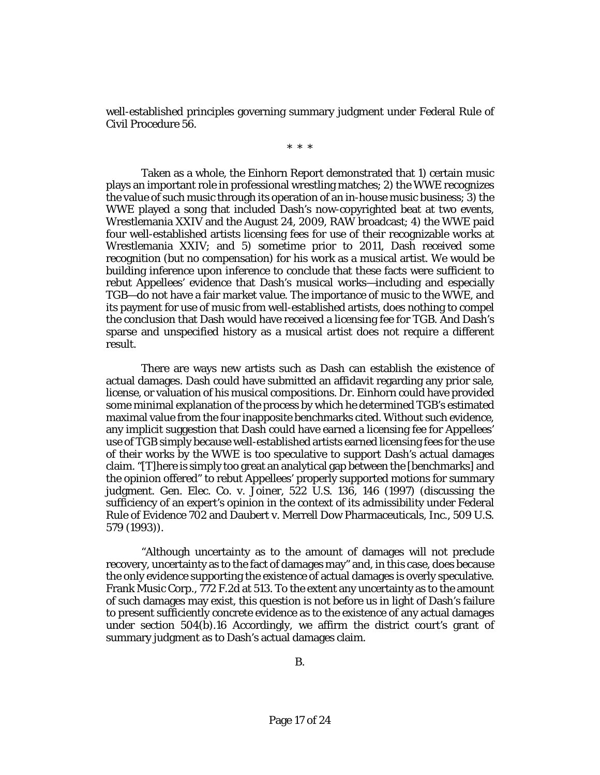well-established principles governing summary judgment under Federal Rule of Civil Procedure 56.

\* \* \*

Taken as a whole, the Einhorn Report demonstrated that 1) certain music plays an important role in professional wrestling matches; 2) the WWE recognizes the value of such music through its operation of an in-house music business; 3) the WWE played a song that included Dash's now-copyrighted beat at two events, Wrestlemania XXIV and the August 24, 2009, RAW broadcast; 4) the WWE paid four well-established artists licensing fees for use of their recognizable works at Wrestlemania XXIV; and 5) sometime prior to 2011, Dash received some recognition (but no compensation) for his work as a musical artist. We would be building inference upon inference to conclude that these facts were sufficient to rebut Appellees' evidence that Dash's musical works—including and especially TGB—do not have a fair market value. The importance of music to the WWE, and its payment for use of music from well-established artists, does nothing to compel the conclusion that Dash would have received a licensing fee for TGB. And Dash's sparse and unspecified history as a musical artist does not require a different result.

There are ways new artists such as Dash can establish the existence of actual damages. Dash could have submitted an affidavit regarding any prior sale, license, or valuation of his musical compositions. Dr. Einhorn could have provided some minimal explanation of the process by which he determined TGB's estimated maximal value from the four inapposite benchmarks cited. Without such evidence, any implicit suggestion that Dash could have earned a licensing fee for Appellees' use of TGB simply because well-established artists earned licensing fees for the use of their works by the WWE is too speculative to support Dash's actual damages claim. "[T]here is simply too great an analytical gap between the [benchmarks] and the opinion offered" to rebut Appellees' properly supported motions for summary judgment. Gen. Elec. Co. v. Joiner, 522 U.S. 136, 146 (1997) (discussing the sufficiency of an expert's opinion in the context of its admissibility under Federal Rule of Evidence 702 and Daubert v. Merrell Dow Pharmaceuticals, Inc., 509 U.S. 579 (1993)).

"Although uncertainty as to the amount of damages will not preclude recovery, uncertainty as to the fact of damages may" and, in this case, does because the only evidence supporting the existence of actual damages is overly speculative. Frank Music Corp., 772 F.2d at 513. To the extent any uncertainty as to the amount of such damages may exist, this question is not before us in light of Dash's failure to present sufficiently concrete evidence as to the existence of any actual damages under section 504(b).16 Accordingly, we affirm the district court's grant of summary judgment as to Dash's actual damages claim.

B.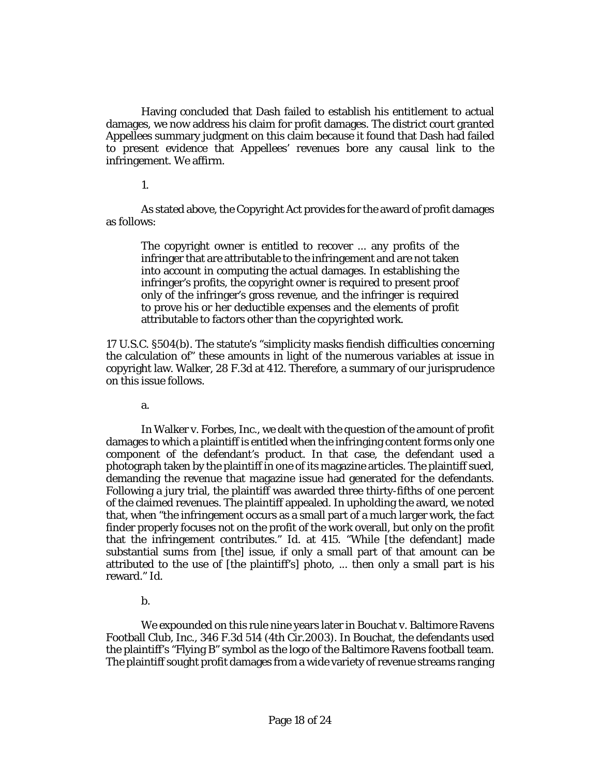Having concluded that Dash failed to establish his entitlement to actual damages, we now address his claim for profit damages. The district court granted Appellees summary judgment on this claim because it found that Dash had failed to present evidence that Appellees' revenues bore any causal link to the infringement. We affirm.

1.

As stated above, the Copyright Act provides for the award of profit damages as follows:

The copyright owner is entitled to recover ... any profits of the infringer that are attributable to the infringement and are not taken into account in computing the actual damages. In establishing the infringer's profits, the copyright owner is required to present proof only of the infringer's gross revenue, and the infringer is required to prove his or her deductible expenses and the elements of profit attributable to factors other than the copyrighted work.

17 U.S.C. §504(b). The statute's "simplicity masks fiendish difficulties concerning the calculation of" these amounts in light of the numerous variables at issue in copyright law. Walker, 28 F.3d at 412. Therefore, a summary of our jurisprudence on this issue follows.

a.

In Walker v. Forbes, Inc., we dealt with the question of the amount of profit damages to which a plaintiff is entitled when the infringing content forms only one component of the defendant's product. In that case, the defendant used a photograph taken by the plaintiff in one of its magazine articles. The plaintiff sued, demanding the revenue that magazine issue had generated for the defendants. Following a jury trial, the plaintiff was awarded three thirty-fifths of one percent of the claimed revenues. The plaintiff appealed. In upholding the award, we noted that, when "the infringement occurs as a small part of a much larger work, the fact finder properly focuses not on the profit of the work overall, but only on the profit that the infringement contributes." Id. at 415. "While [the defendant] made substantial sums from [the] issue, if only a small part of that amount can be attributed to the use of [the plaintiff's] photo, ... then only a small part is his reward." Id.

b.

We expounded on this rule nine years later in Bouchat v. Baltimore Ravens Football Club, Inc., 346 F.3d 514 (4th Cir.2003). In Bouchat, the defendants used the plaintiff's "Flying B" symbol as the logo of the Baltimore Ravens football team. The plaintiff sought profit damages from a wide variety of revenue streams ranging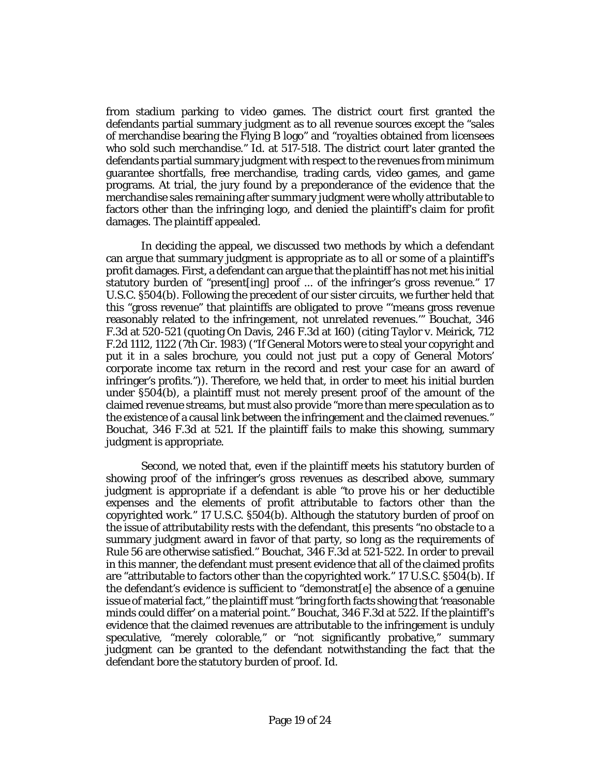from stadium parking to video games. The district court first granted the defendants partial summary judgment as to all revenue sources except the "sales of merchandise bearing the Flying B logo" and "royalties obtained from licensees who sold such merchandise." Id. at 517-518. The district court later granted the defendants partial summary judgment with respect to the revenues from minimum guarantee shortfalls, free merchandise, trading cards, video games, and game programs. At trial, the jury found by a preponderance of the evidence that the merchandise sales remaining after summary judgment were wholly attributable to factors other than the infringing logo, and denied the plaintiff's claim for profit damages. The plaintiff appealed.

In deciding the appeal, we discussed two methods by which a defendant can argue that summary judgment is appropriate as to all or some of a plaintiff's profit damages. First, a defendant can argue that the plaintiff has not met his initial statutory burden of "present[ing] proof ... of the infringer's gross revenue." 17 U.S.C. §504(b). Following the precedent of our sister circuits, we further held that this "gross revenue" that plaintiffs are obligated to prove "'means gross revenue reasonably related to the infringement, not unrelated revenues.'" Bouchat, 346 F.3d at 520-521 (quoting On Davis, 246 F.3d at 160) (citing Taylor v. Meirick, 712 F.2d 1112, 1122 (7th Cir. 1983) ("If General Motors were to steal your copyright and put it in a sales brochure, you could not just put a copy of General Motors' corporate income tax return in the record and rest your case for an award of infringer's profits.")). Therefore, we held that, in order to meet his initial burden under §504(b), a plaintiff must not merely present proof of the amount of the claimed revenue streams, but must also provide "more than mere speculation as to the existence of a causal link between the infringement and the claimed revenues." Bouchat, 346 F.3d at 521. If the plaintiff fails to make this showing, summary judgment is appropriate.

Second, we noted that, even if the plaintiff meets his statutory burden of showing proof of the infringer's gross revenues as described above, summary judgment is appropriate if a defendant is able "to prove his or her deductible expenses and the elements of profit attributable to factors other than the copyrighted work." 17 U.S.C. §504(b). Although the statutory burden of proof on the issue of attributability rests with the defendant, this presents "no obstacle to a summary judgment award in favor of that party, so long as the requirements of Rule 56 are otherwise satisfied." Bouchat, 346 F.3d at 521-522. In order to prevail in this manner, the defendant must present evidence that all of the claimed profits are "attributable to factors other than the copyrighted work." 17 U.S.C. §504(b). If the defendant's evidence is sufficient to "demonstrat[e] the absence of a genuine issue of material fact," the plaintiff must "bring forth facts showing that 'reasonable minds could differ' on a material point." Bouchat, 346 F.3d at 522. If the plaintiff's evidence that the claimed revenues are attributable to the infringement is unduly speculative, "merely colorable," or "not significantly probative," summary judgment can be granted to the defendant notwithstanding the fact that the defendant bore the statutory burden of proof. Id.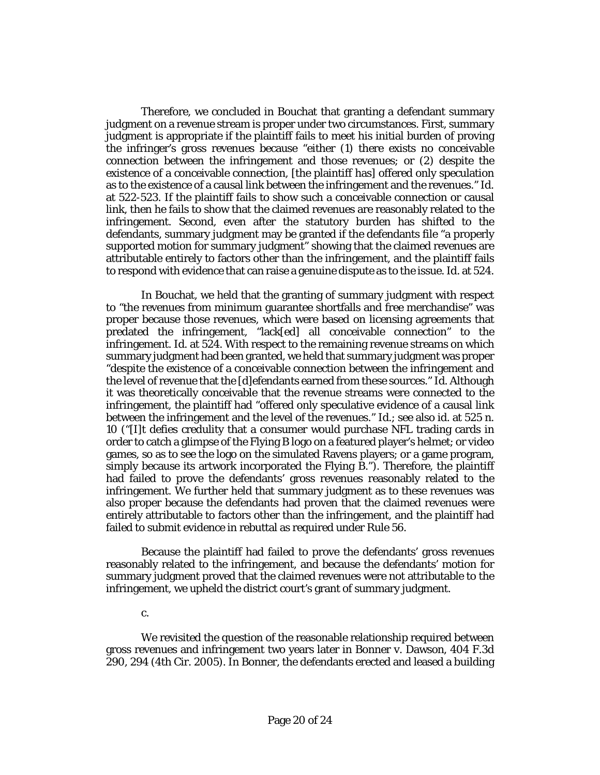Therefore, we concluded in Bouchat that granting a defendant summary judgment on a revenue stream is proper under two circumstances. First, summary judgment is appropriate if the plaintiff fails to meet his initial burden of proving the infringer's gross revenues because "either (1) there exists no conceivable connection between the infringement and those revenues; or (2) despite the existence of a conceivable connection, [the plaintiff has] offered only speculation as to the existence of a causal link between the infringement and the revenues." Id. at 522-523. If the plaintiff fails to show such a conceivable connection or causal link, then he fails to show that the claimed revenues are reasonably related to the infringement. Second, even after the statutory burden has shifted to the defendants, summary judgment may be granted if the defendants file "a properly supported motion for summary judgment" showing that the claimed revenues are attributable entirely to factors other than the infringement, and the plaintiff fails to respond with evidence that can raise a genuine dispute as to the issue. Id. at 524.

In Bouchat, we held that the granting of summary judgment with respect to "the revenues from minimum guarantee shortfalls and free merchandise" was proper because those revenues, which were based on licensing agreements that predated the infringement, "lack[ed] all conceivable connection" to the infringement. Id. at 524. With respect to the remaining revenue streams on which summary judgment had been granted, we held that summary judgment was proper "despite the existence of a conceivable connection between the infringement and the level of revenue that the [d]efendants earned from these sources." Id. Although it was theoretically conceivable that the revenue streams were connected to the infringement, the plaintiff had "offered only speculative evidence of a causal link between the infringement and the level of the revenues." Id.; see also id. at 525 n. 10 ("[I]t defies credulity that a consumer would purchase NFL trading cards in order to catch a glimpse of the Flying B logo on a featured player's helmet; or video games, so as to see the logo on the simulated Ravens players; or a game program, simply because its artwork incorporated the Flying B."). Therefore, the plaintiff had failed to prove the defendants' gross revenues reasonably related to the infringement. We further held that summary judgment as to these revenues was also proper because the defendants had proven that the claimed revenues were entirely attributable to factors other than the infringement, and the plaintiff had failed to submit evidence in rebuttal as required under Rule 56.

Because the plaintiff had failed to prove the defendants' gross revenues reasonably related to the infringement, and because the defendants' motion for summary judgment proved that the claimed revenues were not attributable to the infringement, we upheld the district court's grant of summary judgment.

#### c.

We revisited the question of the reasonable relationship required between gross revenues and infringement two years later in Bonner v. Dawson, 404 F.3d 290, 294 (4th Cir. 2005). In Bonner, the defendants erected and leased a building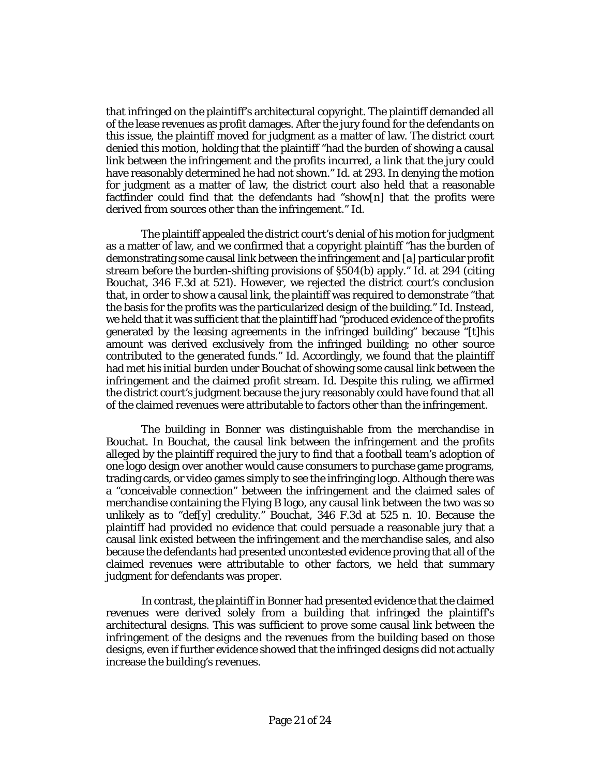that infringed on the plaintiff's architectural copyright. The plaintiff demanded all of the lease revenues as profit damages. After the jury found for the defendants on this issue, the plaintiff moved for judgment as a matter of law. The district court denied this motion, holding that the plaintiff "had the burden of showing a causal link between the infringement and the profits incurred, a link that the jury could have reasonably determined he had not shown." Id. at 293. In denying the motion for judgment as a matter of law, the district court also held that a reasonable factfinder could find that the defendants had "show[n] that the profits were derived from sources other than the infringement." Id.

The plaintiff appealed the district court's denial of his motion for judgment as a matter of law, and we confirmed that a copyright plaintiff "has the burden of demonstrating some causal link between the infringement and [a] particular profit stream before the burden-shifting provisions of §504(b) apply." Id. at 294 (citing Bouchat, 346 F.3d at 521). However, we rejected the district court's conclusion that, in order to show a causal link, the plaintiff was required to demonstrate "that the basis for the profits was the particularized design of the building." Id. Instead, we held that it was sufficient that the plaintiff had "produced evidence of the profits generated by the leasing agreements in the infringed building" because "[t]his amount was derived exclusively from the infringed building; no other source contributed to the generated funds." Id. Accordingly, we found that the plaintiff had met his initial burden under Bouchat of showing some causal link between the infringement and the claimed profit stream. Id. Despite this ruling, we affirmed the district court's judgment because the jury reasonably could have found that all of the claimed revenues were attributable to factors other than the infringement.

The building in Bonner was distinguishable from the merchandise in Bouchat. In Bouchat, the causal link between the infringement and the profits alleged by the plaintiff required the jury to find that a football team's adoption of one logo design over another would cause consumers to purchase game programs, trading cards, or video games simply to see the infringing logo. Although there was a "conceivable connection" between the infringement and the claimed sales of merchandise containing the Flying B logo, any causal link between the two was so unlikely as to "def[y] credulity." Bouchat, 346 F.3d at 525 n. 10. Because the plaintiff had provided no evidence that could persuade a reasonable jury that a causal link existed between the infringement and the merchandise sales, and also because the defendants had presented uncontested evidence proving that all of the claimed revenues were attributable to other factors, we held that summary judgment for defendants was proper.

In contrast, the plaintiff in Bonner had presented evidence that the claimed revenues were derived solely from a building that infringed the plaintiff's architectural designs. This was sufficient to prove some causal link between the infringement of the designs and the revenues from the building based on those designs, even if further evidence showed that the infringed designs did not actually increase the building's revenues.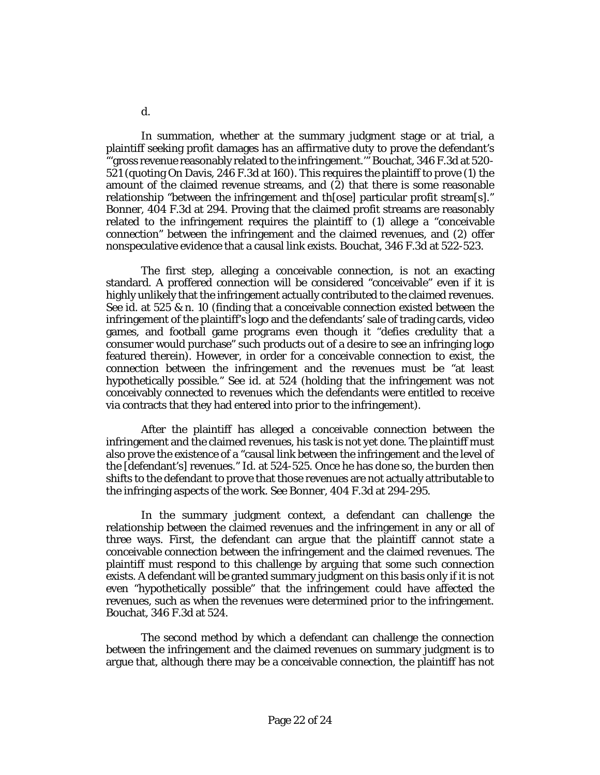In summation, whether at the summary judgment stage or at trial, a plaintiff seeking profit damages has an affirmative duty to prove the defendant's "'gross revenue reasonably related to the infringement.'" Bouchat, 346 F.3d at 520- 521 (quoting On Davis, 246 F.3d at 160). This requires the plaintiff to prove (1) the amount of the claimed revenue streams, and  $(2)$  that there is some reasonable relationship "between the infringement and th[ose] particular profit stream[s]." Bonner, 404 F.3d at 294. Proving that the claimed profit streams are reasonably related to the infringement requires the plaintiff to (1) allege a "conceivable connection" between the infringement and the claimed revenues, and (2) offer nonspeculative evidence that a causal link exists. Bouchat, 346 F.3d at 522-523.

The first step, alleging a conceivable connection, is not an exacting standard. A proffered connection will be considered "conceivable" even if it is highly unlikely that the infringement actually contributed to the claimed revenues. See id. at 525 & n. 10 (finding that a conceivable connection existed between the infringement of the plaintiff's logo and the defendants' sale of trading cards, video games, and football game programs even though it "defies credulity that a consumer would purchase" such products out of a desire to see an infringing logo featured therein). However, in order for a conceivable connection to exist, the connection between the infringement and the revenues must be "at least hypothetically possible." See id. at 524 (holding that the infringement was not conceivably connected to revenues which the defendants were entitled to receive via contracts that they had entered into prior to the infringement).

After the plaintiff has alleged a conceivable connection between the infringement and the claimed revenues, his task is not yet done. The plaintiff must also prove the existence of a "causal link between the infringement and the level of the [defendant's] revenues." Id. at 524-525. Once he has done so, the burden then shifts to the defendant to prove that those revenues are not actually attributable to the infringing aspects of the work. See Bonner, 404 F.3d at 294-295.

In the summary judgment context, a defendant can challenge the relationship between the claimed revenues and the infringement in any or all of three ways. First, the defendant can argue that the plaintiff cannot state a conceivable connection between the infringement and the claimed revenues. The plaintiff must respond to this challenge by arguing that some such connection exists. A defendant will be granted summary judgment on this basis only if it is not even "hypothetically possible" that the infringement could have affected the revenues, such as when the revenues were determined prior to the infringement. Bouchat, 346 F.3d at 524.

The second method by which a defendant can challenge the connection between the infringement and the claimed revenues on summary judgment is to argue that, although there may be a conceivable connection, the plaintiff has not

d.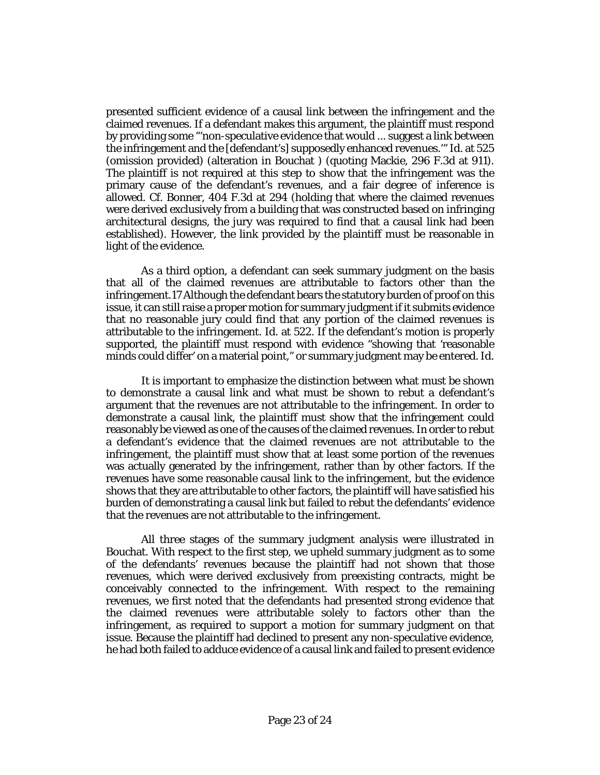presented sufficient evidence of a causal link between the infringement and the claimed revenues. If a defendant makes this argument, the plaintiff must respond by providing some "'non-speculative evidence that would ... suggest a link between the infringement and the [defendant's] supposedly enhanced revenues.'" Id. at 525 (omission provided) (alteration in Bouchat ) (quoting Mackie, 296 F.3d at 911). The plaintiff is not required at this step to show that the infringement was the primary cause of the defendant's revenues, and a fair degree of inference is allowed. Cf. Bonner, 404 F.3d at 294 (holding that where the claimed revenues were derived exclusively from a building that was constructed based on infringing architectural designs, the jury was required to find that a causal link had been established). However, the link provided by the plaintiff must be reasonable in light of the evidence.

As a third option, a defendant can seek summary judgment on the basis that all of the claimed revenues are attributable to factors other than the infringement.17 Although the defendant bears the statutory burden of proof on this issue, it can still raise a proper motion for summary judgment if it submits evidence that no reasonable jury could find that any portion of the claimed revenues is attributable to the infringement. Id. at 522. If the defendant's motion is properly supported, the plaintiff must respond with evidence "showing that 'reasonable minds could differ' on a material point," or summary judgment may be entered. Id.

It is important to emphasize the distinction between what must be shown to demonstrate a causal link and what must be shown to rebut a defendant's argument that the revenues are not attributable to the infringement. In order to demonstrate a causal link, the plaintiff must show that the infringement could reasonably be viewed as one of the causes of the claimed revenues. In order to rebut a defendant's evidence that the claimed revenues are not attributable to the infringement, the plaintiff must show that at least some portion of the revenues was actually generated by the infringement, rather than by other factors. If the revenues have some reasonable causal link to the infringement, but the evidence shows that they are attributable to other factors, the plaintiff will have satisfied his burden of demonstrating a causal link but failed to rebut the defendants' evidence that the revenues are not attributable to the infringement.

All three stages of the summary judgment analysis were illustrated in Bouchat. With respect to the first step, we upheld summary judgment as to some of the defendants' revenues because the plaintiff had not shown that those revenues, which were derived exclusively from preexisting contracts, might be conceivably connected to the infringement. With respect to the remaining revenues, we first noted that the defendants had presented strong evidence that the claimed revenues were attributable solely to factors other than the infringement, as required to support a motion for summary judgment on that issue. Because the plaintiff had declined to present any non-speculative evidence, he had both failed to adduce evidence of a causal link and failed to present evidence